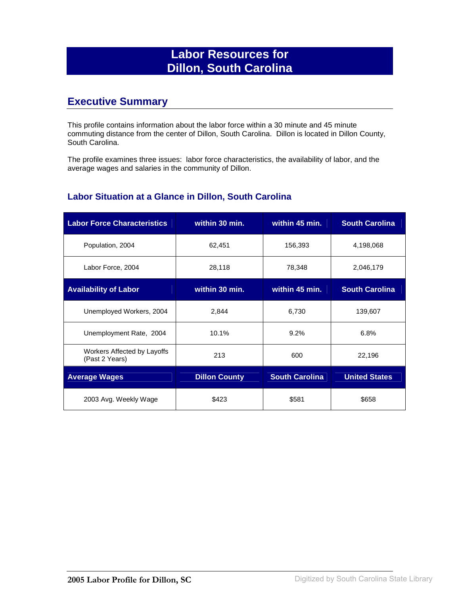# **Labor Resources for Dillon, South Carolina**

## **Executive Summary**

This profile contains information about the labor force within a 30 minute and 45 minute commuting distance from the center of Dillon, South Carolina. Dillon is located in Dillon County, South Carolina.

The profile examines three issues: labor force characteristics, the availability of labor, and the average wages and salaries in the community of Dillon.

#### **Labor Situation at a Glance in Dillon, South Carolina**

| <b>Labor Force Characteristics</b>            | within 30 min.       | within 45 min.        | <b>South Carolina</b> |
|-----------------------------------------------|----------------------|-----------------------|-----------------------|
| Population, 2004                              | 62,451               | 156,393               | 4,198,068             |
| Labor Force, 2004                             | 28,118               | 78,348                | 2,046,179             |
| <b>Availability of Labor</b>                  | within 30 min.       | within 45 min.        | <b>South Carolina</b> |
| Unemployed Workers, 2004                      | 2,844                | 6,730                 | 139,607               |
| Unemployment Rate, 2004                       | 10.1%                | 9.2%                  | 6.8%                  |
| Workers Affected by Layoffs<br>(Past 2 Years) | 213                  | 600                   | 22,196                |
| <b>Average Wages</b>                          | <b>Dillon County</b> | <b>South Carolina</b> | <b>United States</b>  |
| 2003 Avg. Weekly Wage                         | \$423                | \$581                 | \$658                 |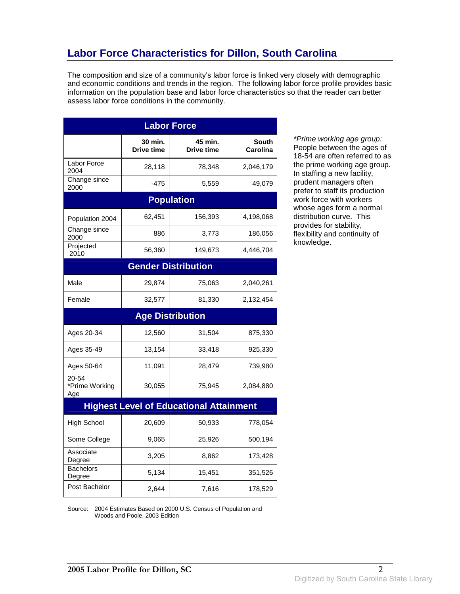# **Labor Force Characteristics for Dillon, South Carolina**

The composition and size of a community's labor force is linked very closely with demographic and economic conditions and trends in the region. The following labor force profile provides basic information on the population base and labor force characteristics so that the reader can better assess labor force conditions in the community.

| <b>Labor Force</b>             |                       |                                                |                          |
|--------------------------------|-----------------------|------------------------------------------------|--------------------------|
|                                | 30 min.<br>Drive time | 45 min.<br>Drive time                          | <b>South</b><br>Carolina |
| Labor Force<br>2004            | 28,118                | 78,348                                         | 2,046,179                |
| Change since<br>2000           | -475                  | 5,559                                          | 49,079                   |
|                                |                       | <b>Population</b>                              |                          |
| Population 2004                | 62,451                | 156,393                                        | 4,198,068                |
| Change since<br>2000           | 886                   | 3,773                                          | 186,056                  |
| Projected<br>2010              | 56,360                | 149,673                                        | 4,446,704                |
|                                |                       | <b>Gender Distribution</b>                     |                          |
| Male                           | 29,874                | 75,063                                         | 2,040,261                |
| Female                         | 32,577                | 81,330                                         | 2,132,454                |
|                                |                       | <b>Age Distribution</b>                        |                          |
| Ages 20-34                     | 12,560                | 31,504                                         | 875,330                  |
| Ages 35-49                     | 13,154                | 33,418                                         | 925,330                  |
| Ages 50-64                     | 11,091                | 28,479                                         | 739,980                  |
| 20-54<br>*Prime Working<br>Age | 30,055                | 75,945                                         | 2,084,880                |
|                                |                       | <b>Highest Level of Educational Attainment</b> |                          |
| <b>High School</b>             | 20,609                | 50,933                                         | 778,054                  |
| Some College                   | 9,065                 | 25,926                                         | 500,194                  |
| Associate<br>Degree            | 3,205                 | 8,862                                          | 173,428                  |
| Bachelors<br>Degree            | 5,134                 | 15,451                                         | 351,526                  |
| Post Bachelor                  | 2,644                 | 7,616                                          | 178,529                  |

\*Prime working age group: People between the ages of 18-54 are often referred to as the prime working age group. In staffing a new facility, prudent managers often prefer to staff its production work force with workers whose ages form a normal distribution curve. This provides for stability, flexibility and continuity of knowledge.

Source: 2004 Estimates Based on 2000 U.S. Census of Population and Woods and Poole, 2003 Edition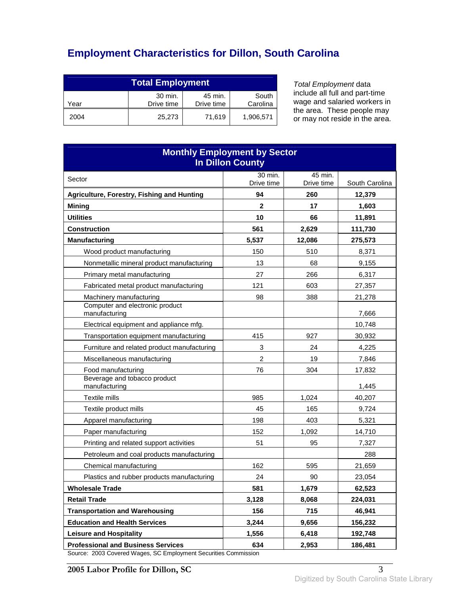# **Employment Characteristics for Dillon, South Carolina**

| <b>Total Employment</b>                                                     |        |        |           |
|-----------------------------------------------------------------------------|--------|--------|-----------|
| 30 min.<br>South<br>45 min.<br>Carolina<br>Drive time<br>Drive time<br>Year |        |        |           |
| 2004                                                                        | 25,273 | 71,619 | 1,906,571 |

Total Employment data include all full and part-time wage and salaried workers in the area. These people may or may not reside in the area.

| <b>Monthly Employment by Sector</b><br><b>In Dillon County</b>                                               |                    |            |                   |
|--------------------------------------------------------------------------------------------------------------|--------------------|------------|-------------------|
| Sector                                                                                                       | 30 min.            | 45 min.    |                   |
|                                                                                                              | Drive time         | Drive time | South Carolina    |
| Agriculture, Forestry, Fishing and Hunting                                                                   | 94<br>$\mathbf{2}$ | 260        | 12,379            |
| <b>Mining</b><br><b>Utilities</b>                                                                            | 10                 | 17<br>66   | 1,603             |
| <b>Construction</b>                                                                                          | 561                | 2,629      | 11,891<br>111,730 |
| <b>Manufacturing</b>                                                                                         | 5,537              | 12,086     | 275,573           |
| Wood product manufacturing                                                                                   | 150                | 510        | 8,371             |
| Nonmetallic mineral product manufacturing                                                                    | 13                 | 68         | 9,155             |
| Primary metal manufacturing                                                                                  | 27                 | 266        | 6,317             |
| Fabricated metal product manufacturing                                                                       | 121                | 603        | 27,357            |
| Machinery manufacturing                                                                                      | 98                 | 388        | 21,278            |
| Computer and electronic product<br>manufacturing                                                             |                    |            | 7,666             |
| Electrical equipment and appliance mfg.                                                                      |                    |            | 10,748            |
| Transportation equipment manufacturing                                                                       | 415                | 927        | 30,932            |
| Furniture and related product manufacturing                                                                  | 3                  | 24         | 4,225             |
| Miscellaneous manufacturing                                                                                  | $\overline{c}$     | 19         | 7,846             |
| Food manufacturing                                                                                           | 76                 | 304        | 17,832            |
| Beverage and tobacco product<br>manufacturing                                                                |                    |            | 1,445             |
| Textile mills                                                                                                | 985                | 1,024      | 40,207            |
| Textile product mills                                                                                        | 45                 | 165        | 9,724             |
| Apparel manufacturing                                                                                        | 198                | 403        | 5,321             |
| Paper manufacturing                                                                                          | 152                | 1,092      | 14,710            |
| Printing and related support activities                                                                      | 51                 | 95         | 7,327             |
| Petroleum and coal products manufacturing                                                                    |                    |            | 288               |
| Chemical manufacturing                                                                                       | 162                | 595        | 21,659            |
| Plastics and rubber products manufacturing                                                                   | 24                 | 90         | 23,054            |
| <b>Wholesale Trade</b>                                                                                       | 581                | 1,679      | 62,523            |
| <b>Retail Trade</b>                                                                                          | 3,128              | 8,068      | 224,031           |
| <b>Transportation and Warehousing</b>                                                                        | 156                | 715        | 46,941            |
| <b>Education and Health Services</b>                                                                         | 3,244              | 9,656      | 156,232           |
| <b>Leisure and Hospitality</b>                                                                               | 1,556              | 6,418      | 192,748           |
| <b>Professional and Business Services</b><br>Source: 2003 Covered Wages, SC Employment Securities Commission | 634                | 2,953      | 186,481           |

Source: 2003 Covered Wages, SC Employment Securities Commission

**2005 Labor Profile for Dillon, SC** 3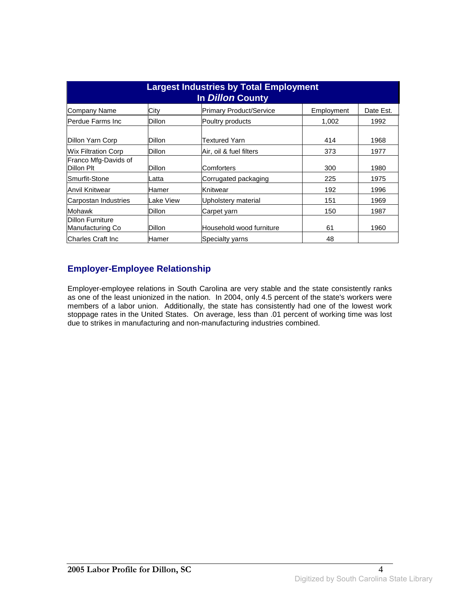| <b>Largest Industries by Total Employment</b><br>In <i>Dillon</i> County |               |                                |            |           |
|--------------------------------------------------------------------------|---------------|--------------------------------|------------|-----------|
| Company Name                                                             | City          | <b>Primary Product/Service</b> | Employment | Date Est. |
| lPerdue Farms Inc                                                        | Dillon        | Poultry products               | 1,002      | 1992      |
| Dillon Yarn Corp                                                         | Dillon        | Textured Yarn                  | 414        | 1968      |
| Wix Filtration Corp                                                      | <b>Dillon</b> | Air, oil & fuel filters        | 373        | 1977      |
| Franco Mfg-Davids of<br>Dillon Plt                                       | Dillon        | lComforters                    | 300        | 1980      |
| lSmurfit-Stone                                                           | Latta         | Corrugated packaging           | 225        | 1975      |
| Anvil Knitwear                                                           | Hamer         | Knitwear                       | 192        | 1996      |
| Carpostan Industries                                                     | Lake View     | Upholstery material            | 151        | 1969      |
| Mohawk                                                                   | Dillon        | Carpet yarn                    | 150        | 1987      |
| <b>Dillon Furniture</b><br>Manufacturing Co                              | <b>Dillon</b> | Household wood furniture       | 61         | 1960      |
| lCharles Craft Inc                                                       | lHamer        | <b>Specialty varns</b>         | 48         |           |

### **Employer-Employee Relationship**

Employer-employee relations in South Carolina are very stable and the state consistently ranks as one of the least unionized in the nation. In 2004, only 4.5 percent of the state's workers were members of a labor union. Additionally, the state has consistently had one of the lowest work stoppage rates in the United States. On average, less than .01 percent of working time was lost due to strikes in manufacturing and non-manufacturing industries combined.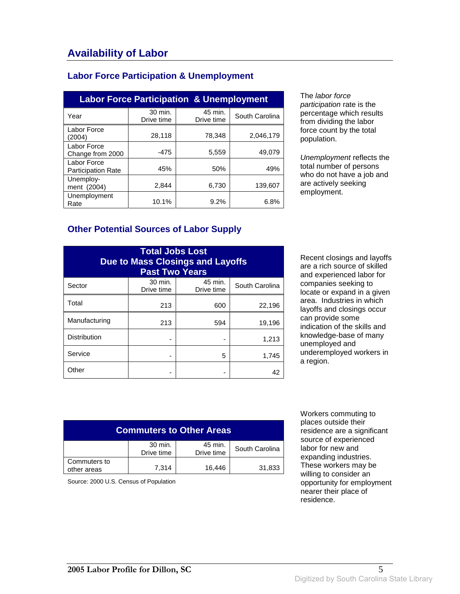#### **Labor Force Participation & Unemployment**

| <b>Labor Force Participation &amp; Unemployment</b> |                       |                       |                |  |
|-----------------------------------------------------|-----------------------|-----------------------|----------------|--|
| Year                                                | 30 min.<br>Drive time | 45 min.<br>Drive time | South Carolina |  |
| Labor Force<br>(2004)                               | 28,118                | 78,348                | 2,046,179      |  |
| Labor Force<br>Change from 2000                     | $-475$                | 5,559                 | 49,079         |  |
| Labor Force<br><b>Participation Rate</b>            | 45%                   | 50%                   | 49%            |  |
| Unemploy-<br>ment (2004)                            | 2.844                 | 6,730                 | 139.607        |  |
| Unemployment<br>Rate                                | 10.1%                 | 9.2%                  | 6.8%           |  |

The labor force participation rate is the percentage which results from dividing the labor force count by the total population.

Unemployment reflects the total number of persons who do not have a job and are actively seeking employment.

#### **Other Potential Sources of Labor Supply**

| <b>Total Jobs Lost</b><br><b>Due to Mass Closings and Layoffs</b><br><b>Past Two Years</b> |                       |                       |                |
|--------------------------------------------------------------------------------------------|-----------------------|-----------------------|----------------|
| Sector                                                                                     | 30 min.<br>Drive time | 45 min.<br>Drive time | South Carolina |
| Total                                                                                      | 213                   | 600                   | 22,196         |
| Manufacturing                                                                              | 213                   | 594                   | 19,196         |
| <b>Distribution</b>                                                                        |                       |                       | 1,213          |
| Service                                                                                    |                       | 5                     | 1,745          |
| Other                                                                                      |                       |                       | 42             |

Recent closings and layoffs are a rich source of skilled and experienced labor for companies seeking to locate or expand in a given area. Industries in which layoffs and closings occur can provide some indication of the skills and knowledge-base of many unemployed and underemployed workers in a region.

| <b>Commuters to Other Areas</b> |                       |                       |                |
|---------------------------------|-----------------------|-----------------------|----------------|
|                                 | 30 min.<br>Drive time | 45 min.<br>Drive time | South Carolina |
| Commuters to<br>other areas     | 7.314                 | 16.446                | 31,833         |

Source: 2000 U.S. Census of Population

 Workers commuting to places outside their residence are a significant source of experienced labor for new and expanding industries. These workers may be willing to consider an opportunity for employment nearer their place of residence.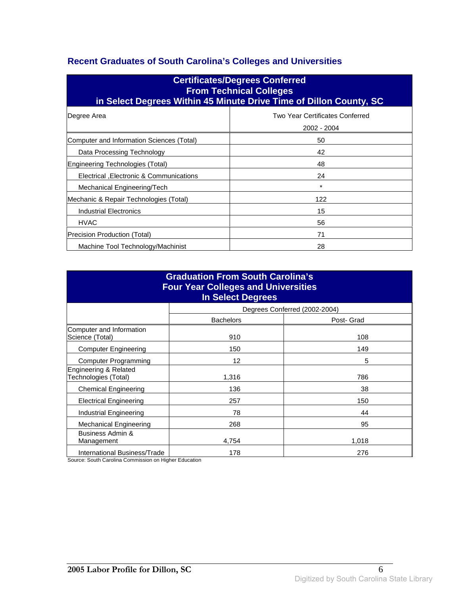### **Recent Graduates of South Carolina's Colleges and Universities**

| <b>Certificates/Degrees Conferred</b><br><b>From Technical Colleges</b><br>in Select Degrees Within 45 Minute Drive Time of Dillon County, SC |                                                |  |  |
|-----------------------------------------------------------------------------------------------------------------------------------------------|------------------------------------------------|--|--|
| Degree Area                                                                                                                                   | Two Year Certificates Conferred<br>2002 - 2004 |  |  |
| Computer and Information Sciences (Total)                                                                                                     | 50                                             |  |  |
| Data Processing Technology                                                                                                                    | 42                                             |  |  |
| Engineering Technologies (Total)                                                                                                              | 48                                             |  |  |
| Electrical , Electronic & Communications                                                                                                      | 24                                             |  |  |
| Mechanical Engineering/Tech                                                                                                                   | $\star$                                        |  |  |
| Mechanic & Repair Technologies (Total)                                                                                                        | 122                                            |  |  |
| Industrial Electronics                                                                                                                        | 15                                             |  |  |
| <b>HVAC</b>                                                                                                                                   | 56                                             |  |  |
| Precision Production (Total)                                                                                                                  | 71                                             |  |  |
| Machine Tool Technology/Machinist<br>28                                                                                                       |                                                |  |  |

| <b>Graduation From South Carolina's</b><br><b>Four Year Colleges and Universities</b><br><b>In Select Degrees</b> |                  |                               |  |
|-------------------------------------------------------------------------------------------------------------------|------------------|-------------------------------|--|
|                                                                                                                   |                  | Degrees Conferred (2002-2004) |  |
|                                                                                                                   | <b>Bachelors</b> | Post- Grad                    |  |
| Computer and Information<br>Science (Total)                                                                       | 910              | 108                           |  |
| <b>Computer Engineering</b>                                                                                       | 150              | 149                           |  |
| <b>Computer Programming</b>                                                                                       | 12               | 5                             |  |
| Engineering & Related<br>Technologies (Total)                                                                     | 1,316            | 786                           |  |
| <b>Chemical Engineering</b>                                                                                       | 136              | 38                            |  |
| <b>Electrical Engineering</b>                                                                                     | 257              | 150                           |  |
| Industrial Engineering                                                                                            | 78               | 44                            |  |
| <b>Mechanical Engineering</b>                                                                                     | 268              | 95                            |  |
| Business Admin &<br>Management                                                                                    | 4.754            | 1,018                         |  |
| International Business/Trade                                                                                      | 178              | 276                           |  |

Source: South Carolina Commission on Higher Education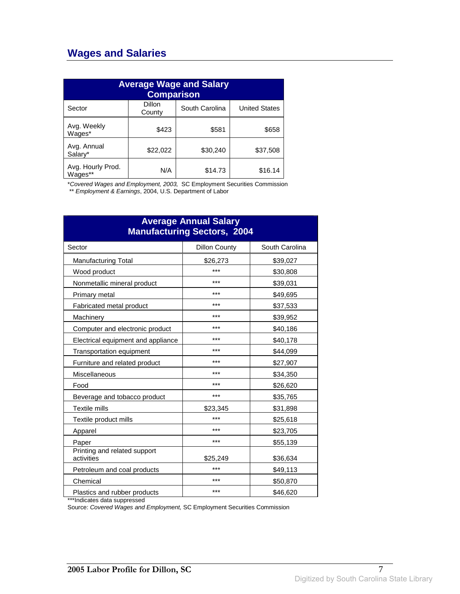# **Wages and Salaries**

| <b>Average Wage and Salary</b><br><b>Comparison</b> |                  |                |                      |
|-----------------------------------------------------|------------------|----------------|----------------------|
| Sector                                              | Dillon<br>County | South Carolina | <b>United States</b> |
| Avg. Weekly<br>Wages*                               | \$423            | \$581          | \$658                |
| Avg. Annual<br>Salarv*                              | \$22,022         | \$30,240       | \$37,508             |
| Avg. Hourly Prod.<br>Wages**                        | N/A              | \$14.73        | \$16.14              |

\*Covered Wages and Employment, 2003, SC Employment Securities Commission

\*\* Employment & Earnings, 2004, U.S. Department of Labor

| <b>Average Annual Salary</b><br><b>Manufacturing Sectors, 2004</b> |                      |                |  |
|--------------------------------------------------------------------|----------------------|----------------|--|
| Sector                                                             | <b>Dillon County</b> | South Carolina |  |
| <b>Manufacturing Total</b>                                         | \$26,273             | \$39,027       |  |
| Wood product                                                       | ***                  | \$30,808       |  |
| Nonmetallic mineral product                                        | ***                  | \$39,031       |  |
| Primary metal                                                      | ***                  | \$49,695       |  |
| Fabricated metal product                                           | ***                  | \$37,533       |  |
| Machinery                                                          | ***                  | \$39,952       |  |
| Computer and electronic product                                    | ***                  | \$40,186       |  |
| Electrical equipment and appliance                                 | ***                  | \$40,178       |  |
| Transportation equipment                                           | ***                  | \$44,099       |  |
| Furniture and related product                                      | ***                  | \$27,907       |  |
| Miscellaneous                                                      | ***                  | \$34,350       |  |
| Food                                                               | ***                  | \$26,620       |  |
| Beverage and tobacco product                                       | ***                  | \$35,765       |  |
| Textile mills                                                      | \$23,345             | \$31,898       |  |
| Textile product mills                                              | ***                  | \$25,618       |  |
| Apparel                                                            | ***                  | \$23,705       |  |
| Paper                                                              | ***                  | \$55,139       |  |
| Printing and related support<br>activities                         | \$25,249             | \$36,634       |  |
| Petroleum and coal products                                        | ***                  | \$49,113       |  |
| Chemical                                                           | ***                  | \$50,870       |  |
| Plastics and rubber products                                       | ***                  | \$46,620       |  |

\*\*\*Indicates data suppressed

Source: Covered Wages and Employment, SC Employment Securities Commission